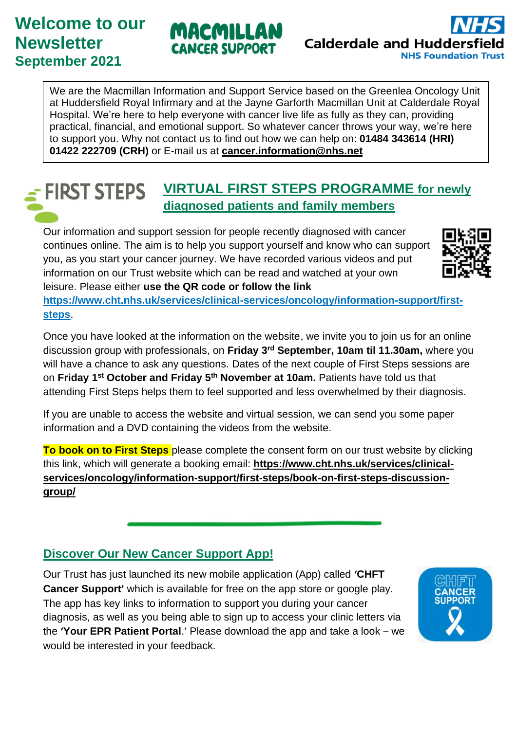# **Welcome to our Newsletter September 2021**

# MACMILLA CANCER SUPPORT



We are the Macmillan Information and Support Service based on the Greenlea Oncology Unit at Huddersfield Royal Infirmary and at the Jayne Garforth Macmillan Unit at Calderdale Royal Hospital. We're here to help everyone with cancer live life as fully as they can, providing practical, financial, and emotional support. So whatever cancer throws your way, we're here to support you. Why not contact us to find out how we can help on: **01484 343614 (HRI) 01422 222709 (CRH)** or E-mail us at **[cancer.information@nhs.net](mailto:cancer.information@nhs.net)**

#### **VIRTUAL FIRST STEPS PROGRAMME for newly FIRST STEPS diagnosed patients and family members**

Our information and support session for people recently diagnosed with cancer continues online. The aim is to help you support yourself and know who can support you, as you start your cancer journey. We have recorded various videos and put information on our Trust website which can be read and watched at your own leisure. Please either **use the QR code or follow the link** 

**[https://www.cht.nhs.uk/services/clinical-services/oncology/information-support/first](https://www.cht.nhs.uk/services/clinical-services/oncology/information-support/first-steps)[steps](https://www.cht.nhs.uk/services/clinical-services/oncology/information-support/first-steps)**.

Once you have looked at the information on the website, we invite you to join us for an online discussion group with professionals, on **Friday 3 rd September, 10am til 11.30am,** where you will have a chance to ask any questions. Dates of the next couple of First Steps sessions are on **Friday 1st October and Friday 5th November at 10am.** Patients have told us that attending First Steps helps them to feel supported and less overwhelmed by their diagnosis.

If you are unable to access the website and virtual session, we can send you some paper information and a DVD containing the videos from the website.

**To book on to First Steps** please complete the consent form on our trust website by clicking this link, which will generate a booking email: **https://www.cht.nhs.uk/services/clinicalservices/oncology/information-support/first-steps/book-on-first-steps-discussiongroup/** 

## **Discover Our New Cancer Support App!**

Our Trust has just launched its new mobile application (App) called **'CHFT Cancer Support'** which is available for free on the app store or google play. The app has key links to information to support you during your cancer diagnosis, as well as you being able to sign up to access your clinic letters via the **'Your EPR Patient Portal**.' Please download the app and take a look – we would be interested in your feedback.

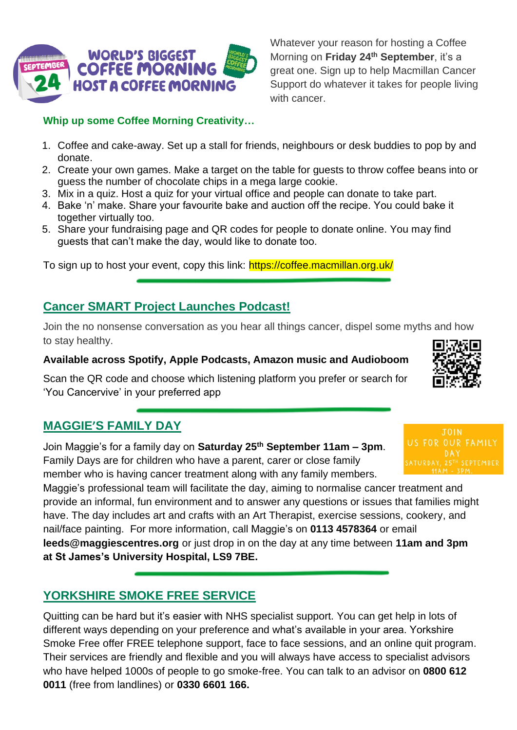

**Whip up some Coffee Morning Creativity…**

- 1. Coffee and cake-away. Set up a stall for friends, neighbours or desk buddies to pop by and donate.
- 2. Create your own games. Make a target on the table for guests to throw coffee beans into or guess the number of chocolate chips in a mega large cookie.
- 3. Mix in a quiz. Host a quiz for your virtual office and people can donate to take part.
- 4. Bake 'n' make. Share your favourite bake and auction off the recipe. You could bake it together virtually too.
- 5. Share your fundraising page and QR codes for people to donate online. You may find guests that can't make the day, would like to donate too.

To sign up to host your event, copy this link: https://coffee.macmillan.org.uk/

### **Cancer SMART Project Launches Podcast!**

Join the no nonsense conversation as you hear all things cancer, dispel some myths and how to stay healthy.

#### **Available across Spotify, Apple Podcasts, Amazon music and Audioboom**

Scan the QR code and choose which listening platform you prefer or search for 'You Cancervive' in your preferred app

## **MAGGIE'S FAMILY DAY**

Join Maggie's for a family day on **Saturday 25th September 11am – 3pm**. Family Days are for children who have a parent, carer or close family member who is having cancer treatment along with any family members.

Maggie's professional team will facilitate the day, aiming to normalise cancer treatment and provide an informal, fun environment and to answer any questions or issues that families might have. The day includes art and crafts with an Art Therapist, exercise sessions, cookery, and nail/face painting. For more information, call Maggie's on **0113 4578364** or email **leeds@maggiescentres.org** or just drop in on the day at any time between **11am and 3pm at St James's University Hospital, LS9 7BE.**

## **YORKSHIRE SMOKE FREE SERVICE**

Quitting can be hard but it's easier with NHS specialist support. You can get help in lots of different ways depending on your preference and what's available in your area. Yorkshire Smoke Free offer FREE [telephone support,](https://yorkshiresmokefree.nhs.uk/pages/telephone-support) [face to face sessions,](https://yorkshiresmokefree.nhs.uk/pages/in-person) and an [online quit program.](https://yorkshiresmokefree.nhs.uk/pages/quit-online) Their services are friendly and flexible and you will always have access to specialist advisors who have helped 1000s of people to go smoke-free. You can talk to an advisor on **0800 612 0011** (free from landlines) or **0330 6601 166.**





Whatever your reason for hosting a Coffee Morning on **Friday 24th September**, it's a great one. Sign up to help Macmillan Cancer Support do whatever it takes for people living with cancer.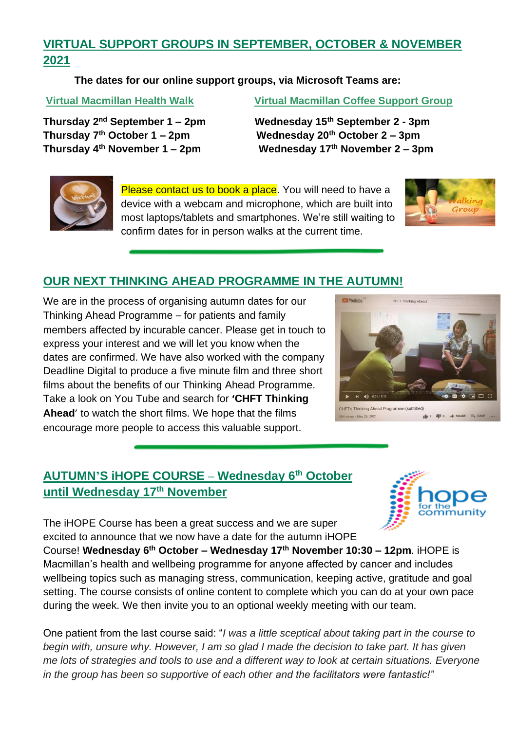## **VIRTUAL SUPPORT GROUPS IN SEPTEMBER, OCTOBER & NOVEMBER 2021**

**The dates for our online support groups, via Microsoft Teams are:** 

**Thursday 2**

**Virtual Macmillan Health Walk Virtual Macmillan Coffee Support Group** 

**Wednesday 15<sup>th</sup> September 2 - 3pm Thursday 7th October 1 – 2pm Wednesday 20th October 2 – 3pm Thursday 4th November 1 – 2pm Wednesday 17th November 2 – 3pm** 



Please contact us to book a place. You will need to have a device with a webcam and microphone, which are built into most laptops/tablets and smartphones. We're still waiting to confirm dates for in person walks at the current time.



## **OUR NEXT THINKING AHEAD PROGRAMME IN THE AUTUMN!**

We are in the process of organising autumn dates for our Thinking Ahead Programme – for patients and family members affected by incurable cancer. Please get in touch to express your interest and we will let you know when the dates are confirmed. We have also worked with the company Deadline Digital to produce a five minute film and three short films about the benefits of our Thinking Ahead Programme. Take a look on You Tube and search for **'CHFT Thinking Ahead**' to watch the short films. We hope that the films encourage more people to access this valuable support.



HFT's Thinking Ahead Programme (subtitled)  $\frac{1}{2}$  7  $\frac{1}{2}$  0  $\rightarrow$  SHARE  $\equiv$  5AVI

## **AUTUMN'S iHOPE COURSE – Wednesday 6th October until Wednesday 17th November**



The iHOPE Course has been a great success and we are super excited to announce that we now have a date for the autumn iHOPE Course! **Wednesday 6th October – Wednesday 17th November 10:30 – 12pm**. iHOPE is Macmillan's health and wellbeing programme for anyone affected by cancer and includes wellbeing topics such as managing stress, communication, keeping active, gratitude and goal setting. The course consists of online content to complete which you can do at your own pace during the week. We then invite you to an optional weekly meeting with our team.

One patient from the last course said: "*I was a little sceptical about taking part in the course to begin with, unsure why. However, I am so glad I made the decision to take part. It has given me lots of strategies and tools to use and a different way to look at certain situations. Everyone in the group has been so supportive of each other and the facilitators were fantastic!"*